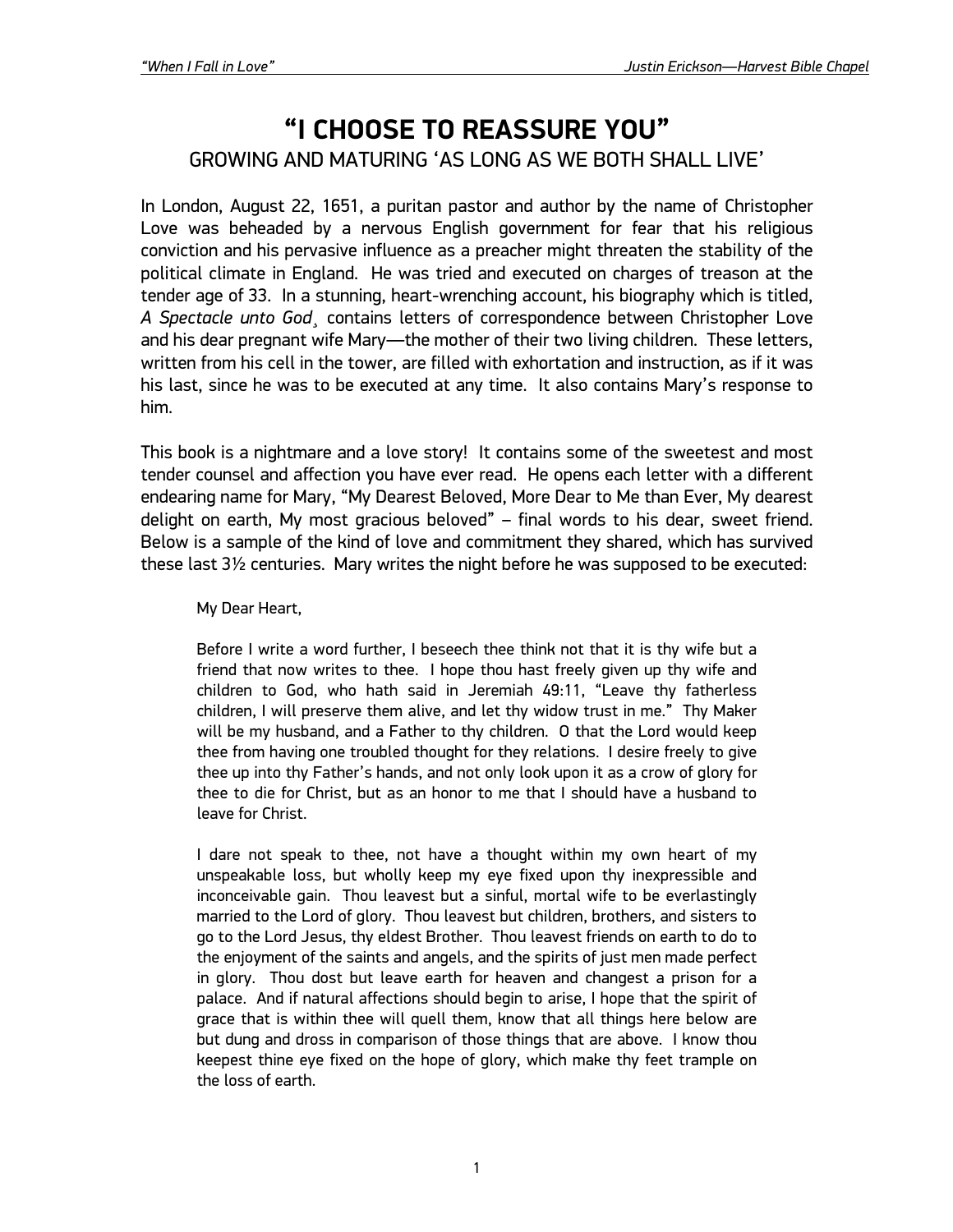# **"I CHOOSE TO REASSURE YOU"** GROWING AND MATURING 'AS LONG AS WE BOTH SHALL LIVE'

In London, August 22, 1651, a puritan pastor and author by the name of Christopher Love was beheaded by a nervous English government for fear that his religious conviction and his pervasive influence as a preacher might threaten the stability of the political climate in England. He was tried and executed on charges of treason at the tender age of 33. In a stunning, heart-wrenching account, his biography which is titled, *A Spectacle unto God¸* contains letters of correspondence between Christopher Love and his dear pregnant wife Mary—the mother of their two living children. These letters, written from his cell in the tower, are filled with exhortation and instruction, as if it was his last, since he was to be executed at any time. It also contains Mary's response to him.

This book is a nightmare and a love story! It contains some of the sweetest and most tender counsel and affection you have ever read. He opens each letter with a different endearing name for Mary, "My Dearest Beloved, More Dear to Me than Ever, My dearest delight on earth, My most gracious beloved" – final words to his dear, sweet friend. Below is a sample of the kind of love and commitment they shared, which has survived these last 3½ centuries. Mary writes the night before he was supposed to be executed:

My Dear Heart,

Before I write a word further, I beseech thee think not that it is thy wife but a friend that now writes to thee. I hope thou hast freely given up thy wife and children to God, who hath said in Jeremiah 49:11, "Leave thy fatherless children, I will preserve them alive, and let thy widow trust in me." Thy Maker will be my husband, and a Father to thy children. O that the Lord would keep thee from having one troubled thought for they relations. I desire freely to give thee up into thy Father's hands, and not only look upon it as a crow of glory for thee to die for Christ, but as an honor to me that I should have a husband to leave for Christ.

I dare not speak to thee, not have a thought within my own heart of my unspeakable loss, but wholly keep my eye fixed upon thy inexpressible and inconceivable gain. Thou leavest but a sinful, mortal wife to be everlastingly married to the Lord of glory. Thou leavest but children, brothers, and sisters to go to the Lord Jesus, thy eldest Brother. Thou leavest friends on earth to do to the enjoyment of the saints and angels, and the spirits of just men made perfect in glory. Thou dost but leave earth for heaven and changest a prison for a palace. And if natural affections should begin to arise, I hope that the spirit of grace that is within thee will quell them, know that all things here below are but dung and dross in comparison of those things that are above. I know thou keepest thine eye fixed on the hope of glory, which make thy feet trample on the loss of earth.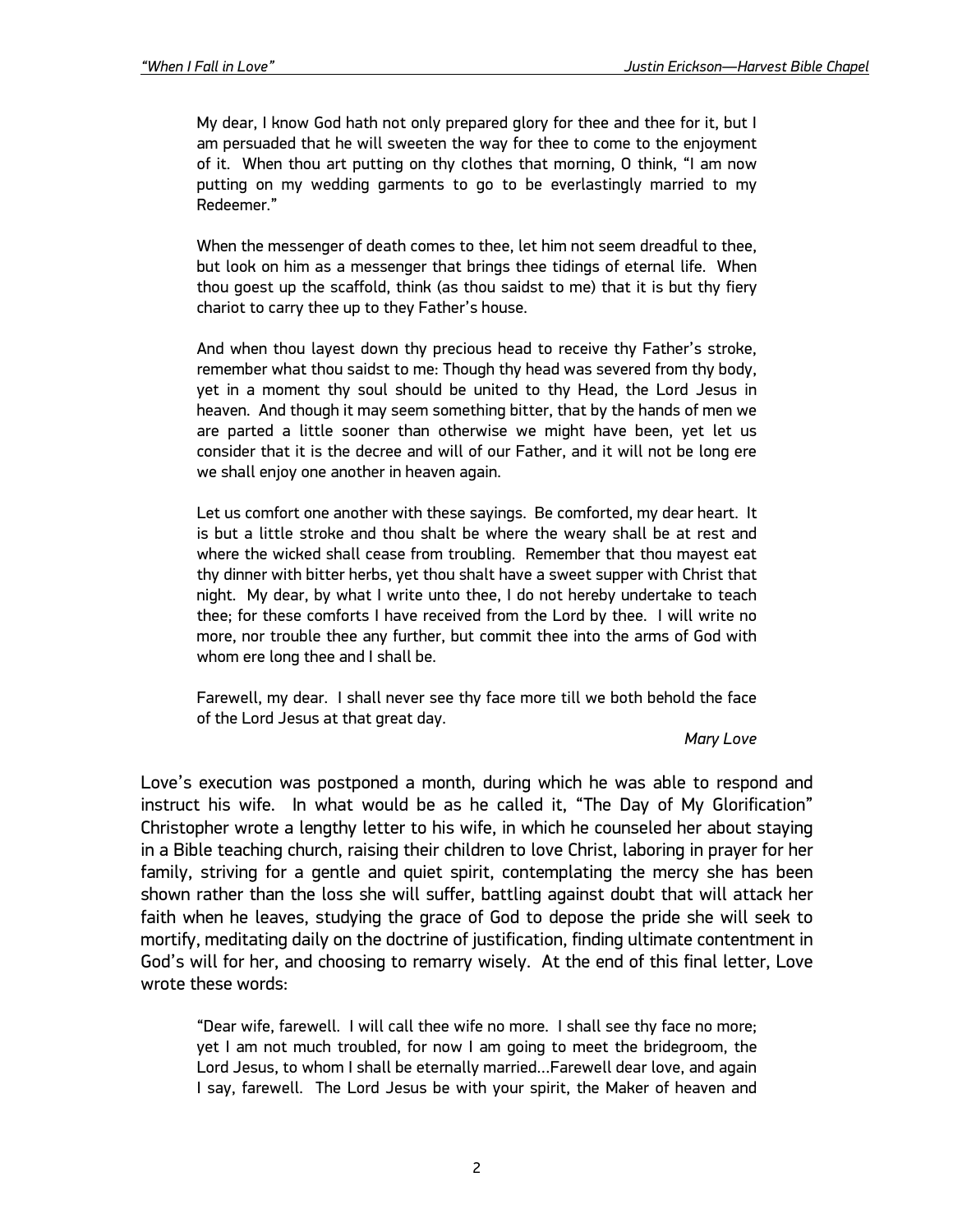My dear, I know God hath not only prepared glory for thee and thee for it, but I am persuaded that he will sweeten the way for thee to come to the enjoyment of it. When thou art putting on thy clothes that morning, O think, "I am now putting on my wedding garments to go to be everlastingly married to my Redeemer."

When the messenger of death comes to thee, let him not seem dreadful to thee, but look on him as a messenger that brings thee tidings of eternal life. When thou goest up the scaffold, think (as thou saidst to me) that it is but thy fiery chariot to carry thee up to they Father's house.

And when thou layest down thy precious head to receive thy Father's stroke, remember what thou saidst to me: Though thy head was severed from thy body, yet in a moment thy soul should be united to thy Head, the Lord Jesus in heaven. And though it may seem something bitter, that by the hands of men we are parted a little sooner than otherwise we might have been, yet let us consider that it is the decree and will of our Father, and it will not be long ere we shall enjoy one another in heaven again.

Let us comfort one another with these sayings. Be comforted, my dear heart. It is but a little stroke and thou shalt be where the weary shall be at rest and where the wicked shall cease from troubling. Remember that thou mayest eat thy dinner with bitter herbs, yet thou shalt have a sweet supper with Christ that night. My dear, by what I write unto thee, I do not hereby undertake to teach thee; for these comforts I have received from the Lord by thee. I will write no more, nor trouble thee any further, but commit thee into the arms of God with whom ere long thee and I shall be.

Farewell, my dear. I shall never see thy face more till we both behold the face of the Lord Jesus at that great day.

#### *Mary Love*

Love's execution was postponed a month, during which he was able to respond and instruct his wife. In what would be as he called it, "The Day of My Glorification" Christopher wrote a lengthy letter to his wife, in which he counseled her about staying in a Bible teaching church, raising their children to love Christ, laboring in prayer for her family, striving for a gentle and quiet spirit, contemplating the mercy she has been shown rather than the loss she will suffer, battling against doubt that will attack her faith when he leaves, studying the grace of God to depose the pride she will seek to mortify, meditating daily on the doctrine of justification, finding ultimate contentment in God's will for her, and choosing to remarry wisely. At the end of this final letter, Love wrote these words:

"Dear wife, farewell. I will call thee wife no more. I shall see thy face no more; yet I am not much troubled, for now I am going to meet the bridegroom, the Lord Jesus, to whom I shall be eternally married…Farewell dear love, and again I say, farewell. The Lord Jesus be with your spirit, the Maker of heaven and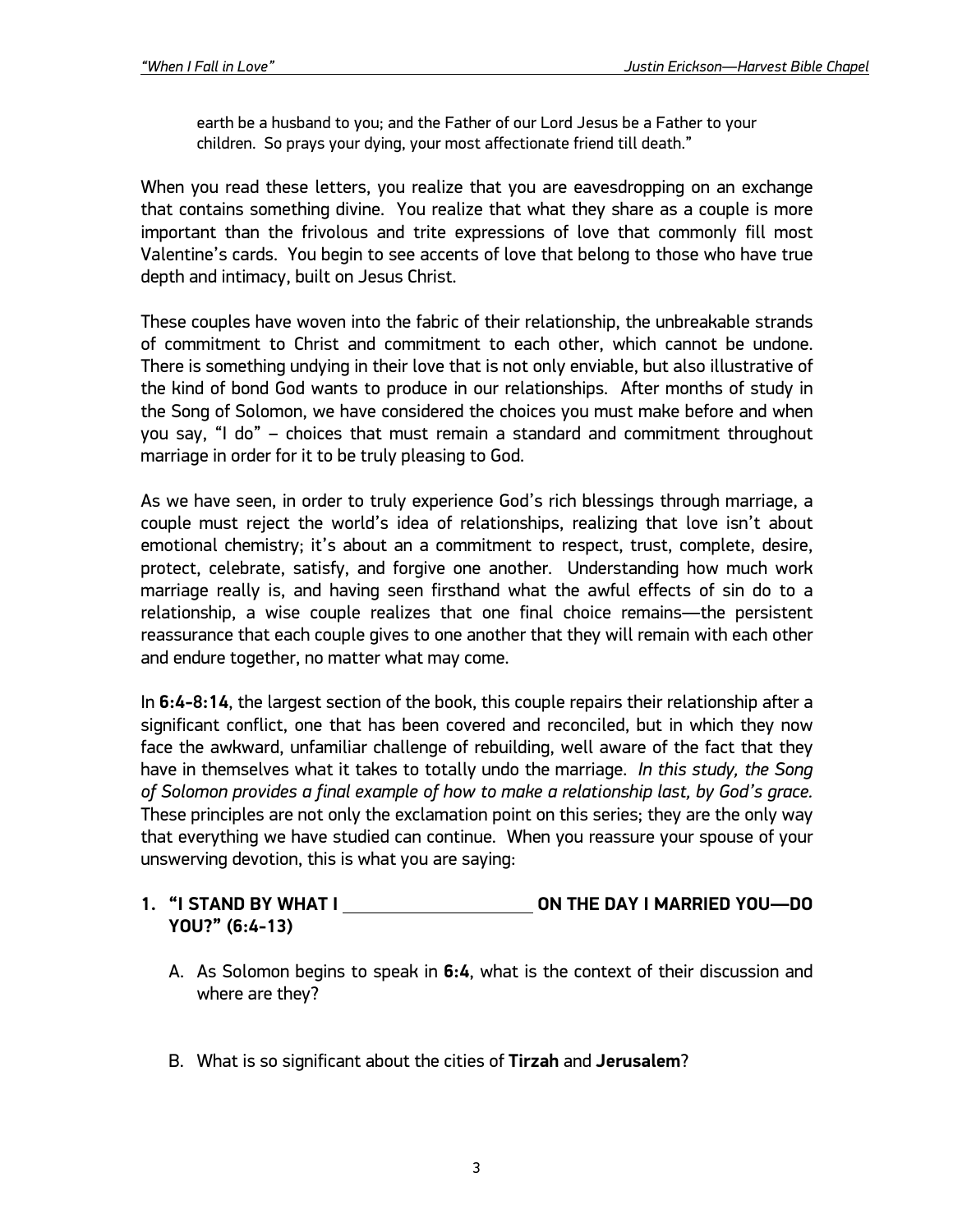earth be a husband to you; and the Father of our Lord Jesus be a Father to your children. So prays your dying, your most affectionate friend till death."

When you read these letters, you realize that you are eavesdropping on an exchange that contains something divine. You realize that what they share as a couple is more important than the frivolous and trite expressions of love that commonly fill most Valentine's cards. You begin to see accents of love that belong to those who have true depth and intimacy, built on Jesus Christ.

These couples have woven into the fabric of their relationship, the unbreakable strands of commitment to Christ and commitment to each other, which cannot be undone. There is something undying in their love that is not only enviable, but also illustrative of the kind of bond God wants to produce in our relationships. After months of study in the Song of Solomon, we have considered the choices you must make before and when you say, "I do" – choices that must remain a standard and commitment throughout marriage in order for it to be truly pleasing to God.

As we have seen, in order to truly experience God's rich blessings through marriage, a couple must reject the world's idea of relationships, realizing that love isn't about emotional chemistry; it's about an a commitment to respect, trust, complete, desire, protect, celebrate, satisfy, and forgive one another. Understanding how much work marriage really is, and having seen firsthand what the awful effects of sin do to a relationship, a wise couple realizes that one final choice remains—the persistent reassurance that each couple gives to one another that they will remain with each other and endure together, no matter what may come.

In **6:4-8:14**, the largest section of the book, this couple repairs their relationship after a significant conflict, one that has been covered and reconciled, but in which they now face the awkward, unfamiliar challenge of rebuilding, well aware of the fact that they have in themselves what it takes to totally undo the marriage. *In this study, the Song of Solomon provides a final example of how to make a relationship last, by God's grace.*  These principles are not only the exclamation point on this series; they are the only way that everything we have studied can continue. When you reassure your spouse of your unswerving devotion, this is what you are saying:

# 1. "I STAND BY WHAT I **CONSIDER A SHOW THE DAY I MARRIED YOU—DO YOU?" (6:4-13)**

- A. As Solomon begins to speak in **6:4**, what is the context of their discussion and where are they?
- B. What is so significant about the cities of **Tirzah** and **Jerusalem**?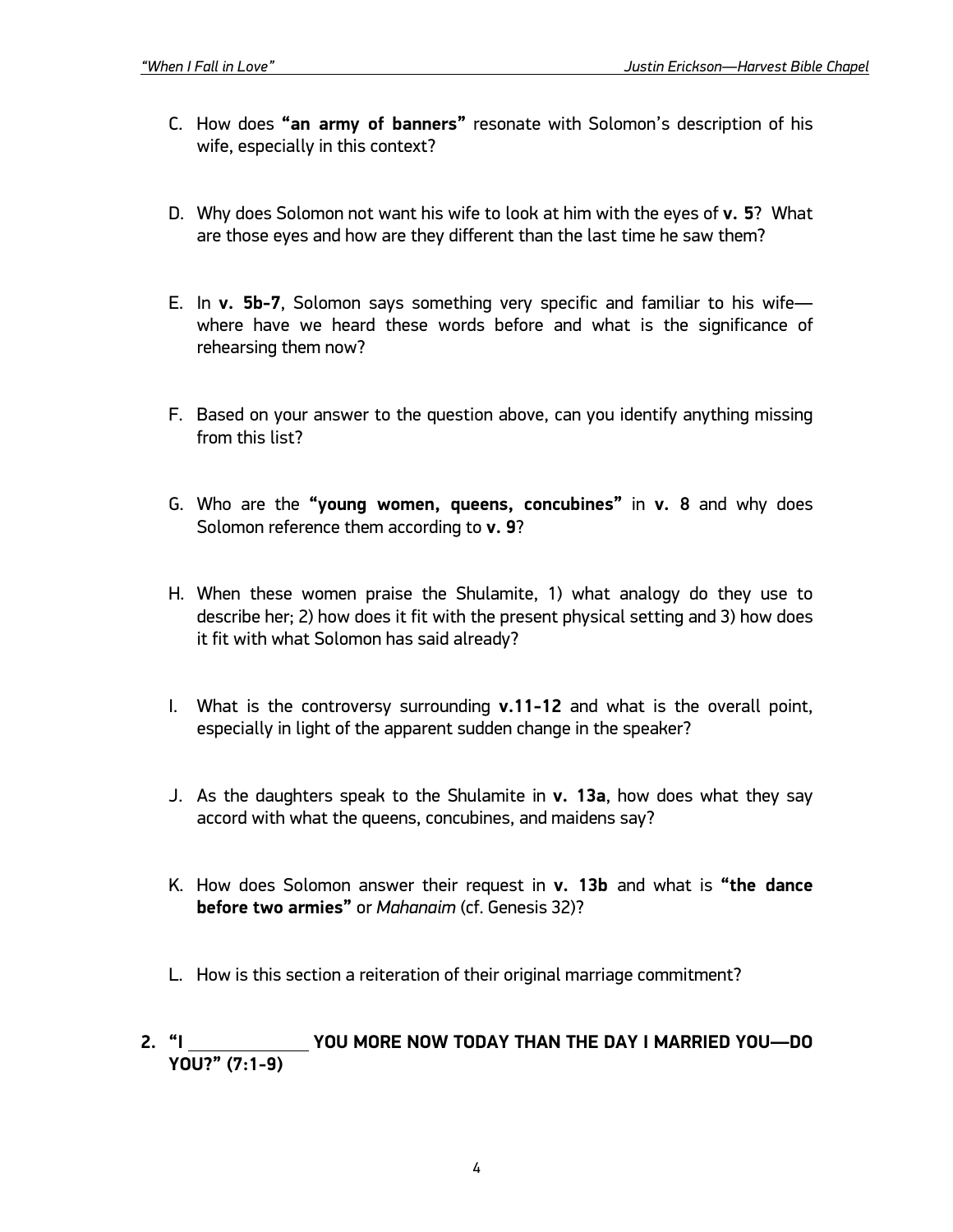- C. How does **"an army of banners"** resonate with Solomon's description of his wife, especially in this context?
- D. Why does Solomon not want his wife to look at him with the eyes of **v. 5**? What are those eyes and how are they different than the last time he saw them?
- E. In **v. 5b-7**, Solomon says something very specific and familiar to his wife where have we heard these words before and what is the significance of rehearsing them now?
- F. Based on your answer to the question above, can you identify anything missing from this list?
- G. Who are the **"young women, queens, concubines"** in **v. 8** and why does Solomon reference them according to **v. 9**?
- H. When these women praise the Shulamite, 1) what analogy do they use to describe her; 2) how does it fit with the present physical setting and 3) how does it fit with what Solomon has said already?
- I. What is the controversy surrounding **v.11-12** and what is the overall point, especially in light of the apparent sudden change in the speaker?
- J. As the daughters speak to the Shulamite in **v. 13a**, how does what they say accord with what the queens, concubines, and maidens say?
- K. How does Solomon answer their request in **v. 13b** and what is **"the dance before two armies"** or *Mahanaim* (cf. Genesis 32)?
- L. How is this section a reiteration of their original marriage commitment?

# **2. "I YOU MORE NOW TODAY THAN THE DAY I MARRIED YOU—DO YOU?" (7:1-9)**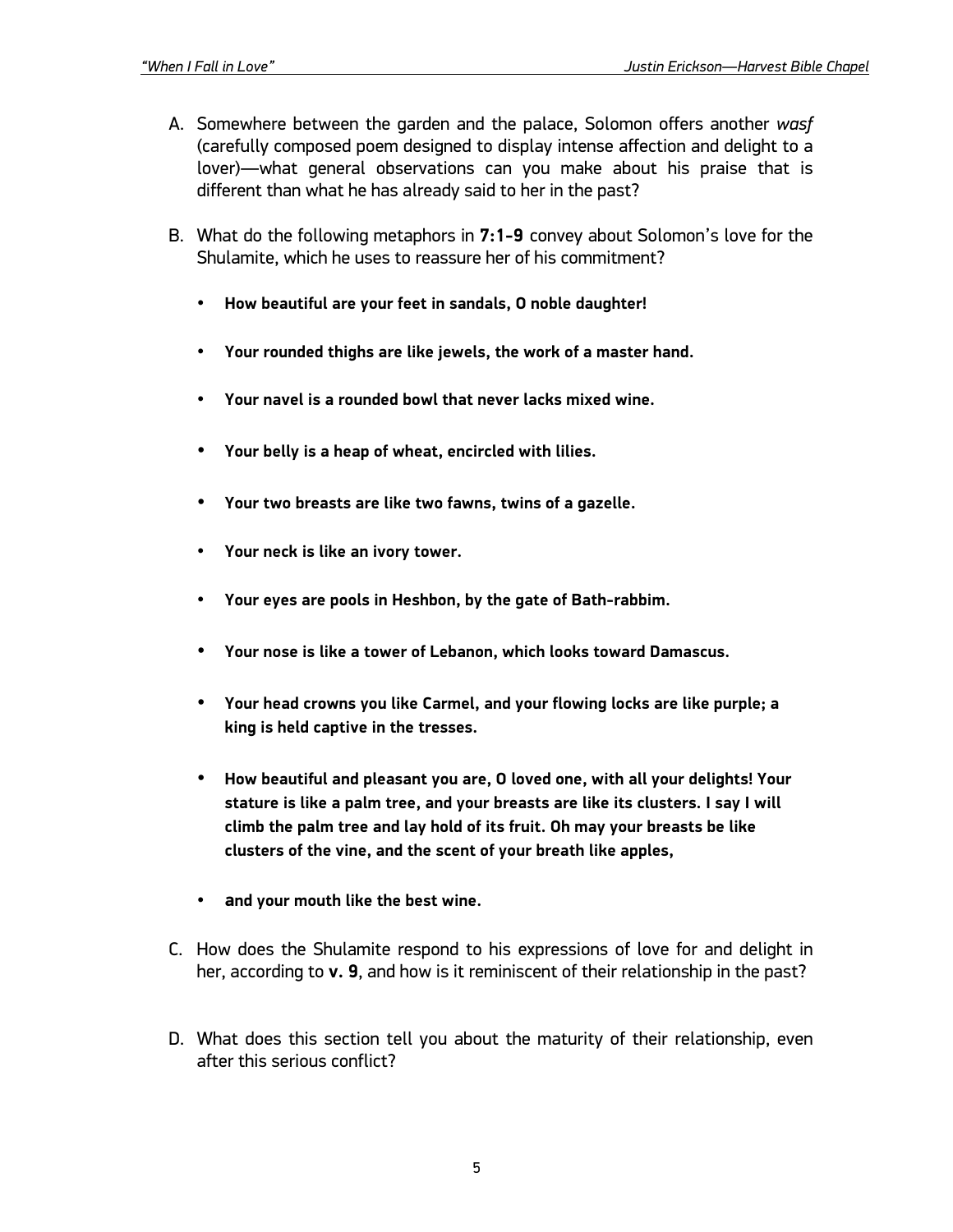- A. Somewhere between the garden and the palace, Solomon offers another *wasf* (carefully composed poem designed to display intense affection and delight to a lover)—what general observations can you make about his praise that is different than what he has already said to her in the past?
- B. What do the following metaphors in **7:1-9** convey about Solomon's love for the Shulamite, which he uses to reassure her of his commitment?
	- **How beautiful are your feet in sandals, O noble daughter!**
	- **Your rounded thighs are like jewels, the work of a master hand.**
	- **Your navel is a rounded bowl that never lacks mixed wine.**
	- **Your belly is a heap of wheat, encircled with lilies.**
	- **Your two breasts are like two fawns, twins of a gazelle.**
	- **Your neck is like an ivory tower.**
	- **Your eyes are pools in Heshbon, by the gate of Bath-rabbim.**
	- **Your nose is like a tower of Lebanon, which looks toward Damascus.**
	- **Your head crowns you like Carmel, and your flowing locks are like purple; a king is held captive in the tresses.**
	- **How beautiful and pleasant you are, O loved one, with all your delights! Your stature is like a palm tree, and your breasts are like its clusters. I say I will climb the palm tree and lay hold of its fruit. Oh may your breasts be like clusters of the vine, and the scent of your breath like apples,**
	- **and your mouth like the best wine.**
- C. How does the Shulamite respond to his expressions of love for and delight in her, according to **v. 9**, and how is it reminiscent of their relationship in the past?
- D. What does this section tell you about the maturity of their relationship, even after this serious conflict?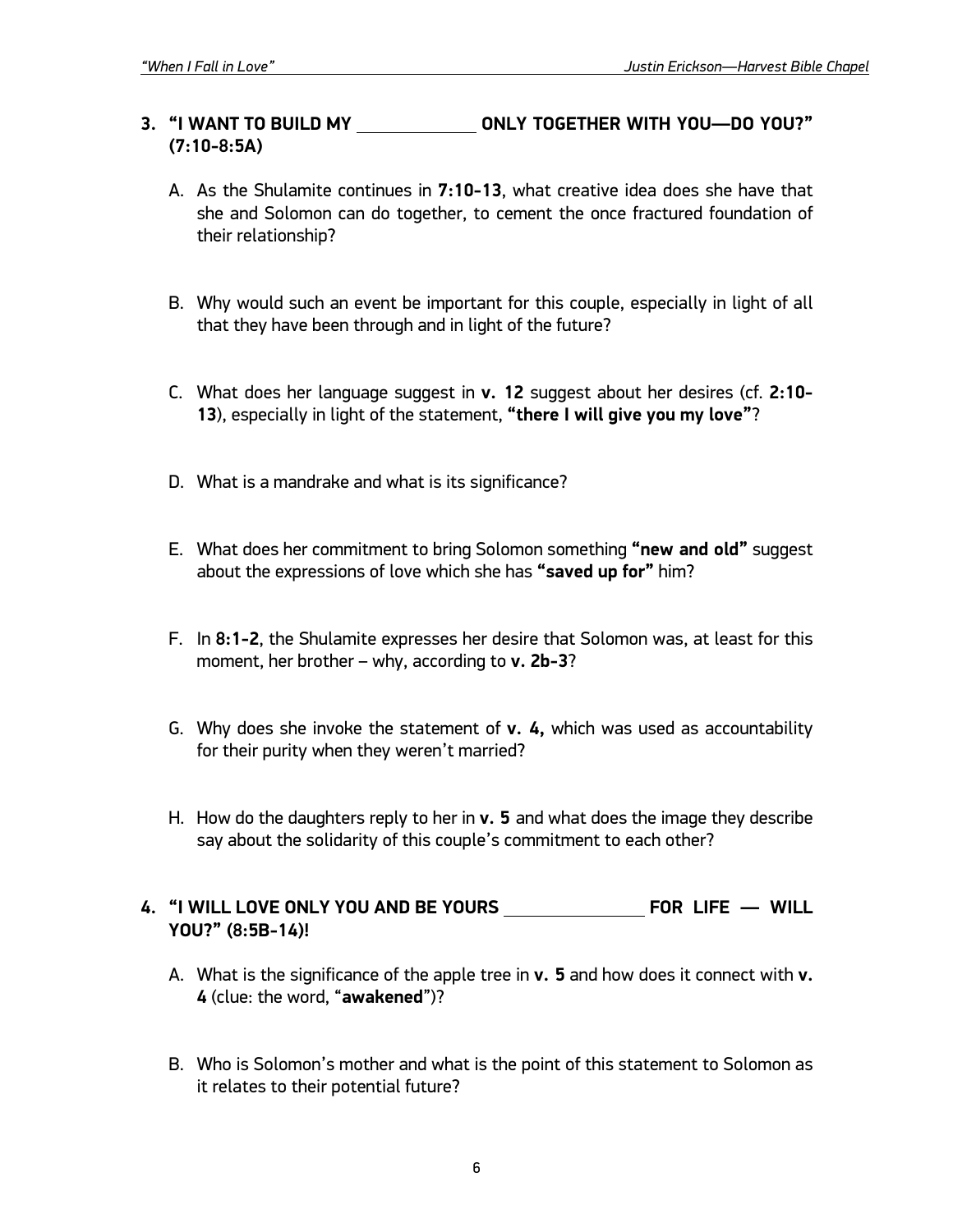# **3. "I WANT TO BUILD MY ONLY TOGETHER WITH YOU—DO YOU?" (7:10-8:5A)**

- A. As the Shulamite continues in **7:10-13**, what creative idea does she have that she and Solomon can do together, to cement the once fractured foundation of their relationship?
- B. Why would such an event be important for this couple, especially in light of all that they have been through and in light of the future?
- C. What does her language suggest in **v. 12** suggest about her desires (cf. **2:10- 13**), especially in light of the statement, **"there I will give you my love"**?
- D. What is a mandrake and what is its significance?
- E. What does her commitment to bring Solomon something **"new and old"** suggest about the expressions of love which she has **"saved up for"** him?
- F. In **8:1-2**, the Shulamite expresses her desire that Solomon was, at least for this moment, her brother – why, according to **v. 2b-3**?
- G. Why does she invoke the statement of **v. 4,** which was used as accountability for their purity when they weren't married?
- H. How do the daughters reply to her in **v. 5** and what does the image they describe say about the solidarity of this couple's commitment to each other?

### **4. "I WILL LOVE ONLY YOU AND BE YOURS FOR LIFE — WILL YOU?" (8:5B-14)!**

- A. What is the significance of the apple tree in **v. 5** and how does it connect with **v. 4** (clue: the word, "**awakened**")?
- B. Who is Solomon's mother and what is the point of this statement to Solomon as it relates to their potential future?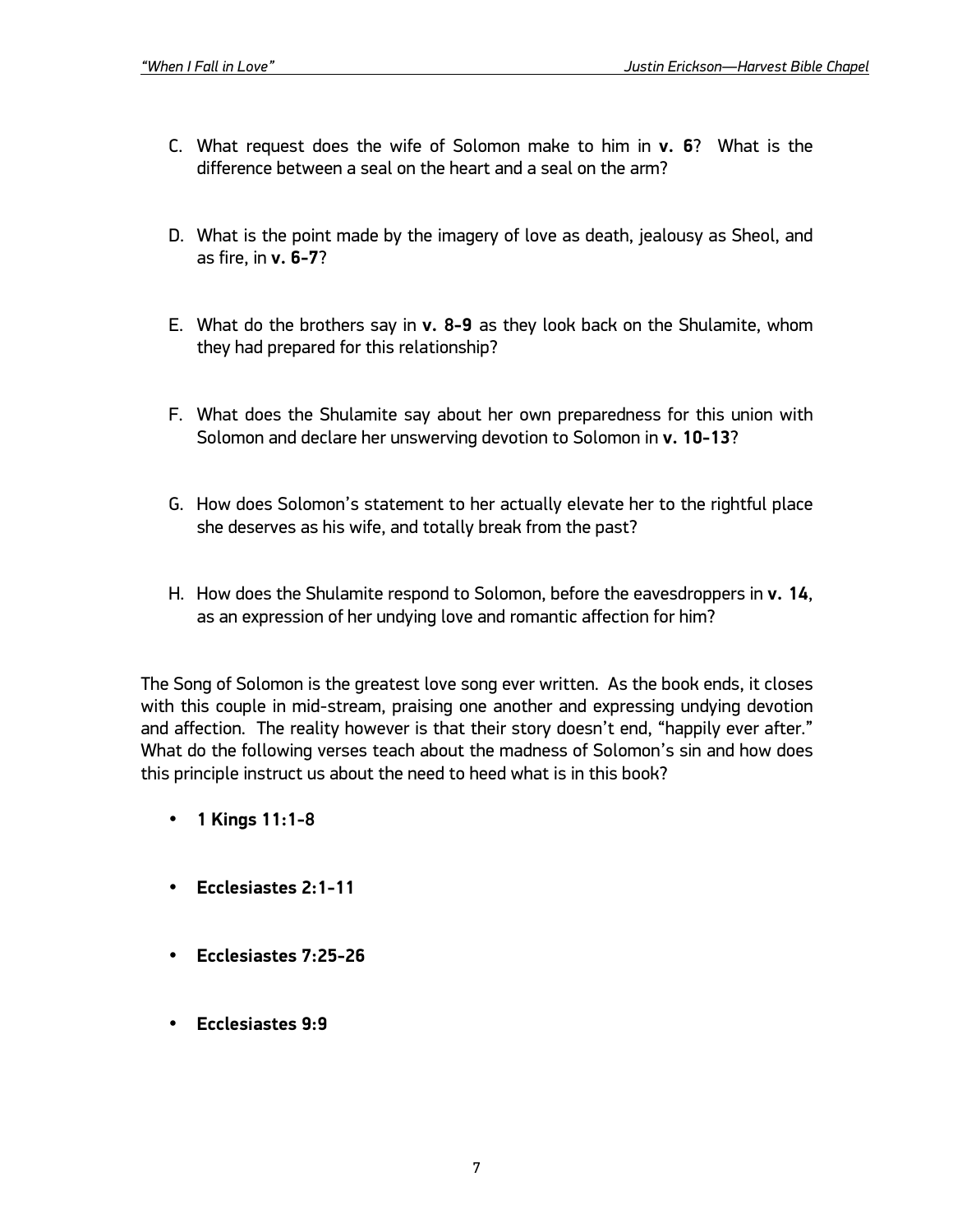- C. What request does the wife of Solomon make to him in **v. 6**? What is the difference between a seal on the heart and a seal on the arm?
- D. What is the point made by the imagery of love as death, jealousy as Sheol, and as fire, in **v. 6-7**?
- E. What do the brothers say in **v. 8-9** as they look back on the Shulamite, whom they had prepared for this relationship?
- F. What does the Shulamite say about her own preparedness for this union with Solomon and declare her unswerving devotion to Solomon in **v. 10-13**?
- G. How does Solomon's statement to her actually elevate her to the rightful place she deserves as his wife, and totally break from the past?
- H. How does the Shulamite respond to Solomon, before the eavesdroppers in **v. 14**, as an expression of her undying love and romantic affection for him?

The Song of Solomon is the greatest love song ever written. As the book ends, it closes with this couple in mid-stream, praising one another and expressing undying devotion and affection. The reality however is that their story doesn't end, "happily ever after." What do the following verses teach about the madness of Solomon's sin and how does this principle instruct us about the need to heed what is in this book?

- **1 Kings 11:1-8**
- **Ecclesiastes 2:1-11**
- **Ecclesiastes 7:25-26**
- **Ecclesiastes 9:9**